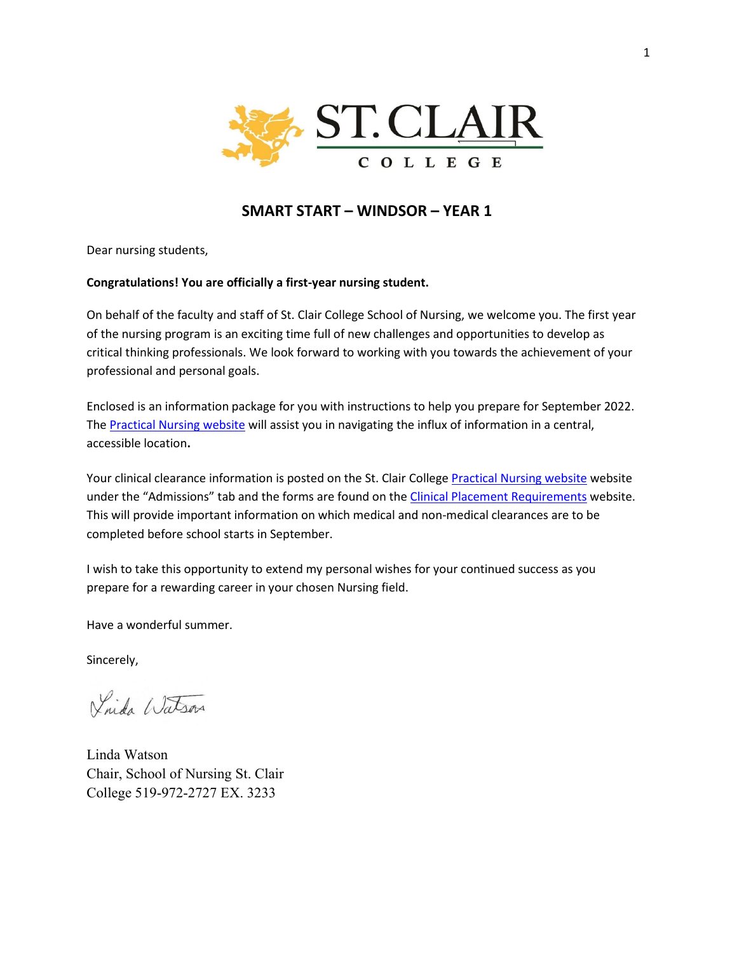

# **SMART START – WINDSOR – YEAR 1**

Dear nursing students,

### **Congratulations! You are officially a first-year nursing student.**

On behalf of the faculty and staff of St. Clair College School of Nursing, we welcome you. The first year of the nursing program is an exciting time full of new challenges and opportunities to develop as critical thinking professionals. We look forward to working with you towards the achievement of your professional and personal goals.

Enclosed is an information package for you with instructions to help you prepare for September 2022. The [Practical Nursing](https://www.stclaircollege.ca/programs/practical-nursing) website will assist you in navigating the influx of information in a central, accessible location**.**

Your clinical clearance information is posted on the St. Clair College [Practical Nursing website](https://www.stclaircollege.ca/programs/practical-nursing) website under the "Admissions" tab and the forms are found on the [Clinical Placement Requirements](https://www.stclaircollege.ca/programs/clinical-placement-requirements) website. This will provide important information on which medical and non-medical clearances are to be completed before school starts in September.

I wish to take this opportunity to extend my personal wishes for your continued success as you prepare for a rewarding career in your chosen Nursing field.

Have a wonderful summer.

Sincerely,

Vinda Watson

Linda Watson Chair, School of Nursing St. Clair College 519-972-2727 EX. 3233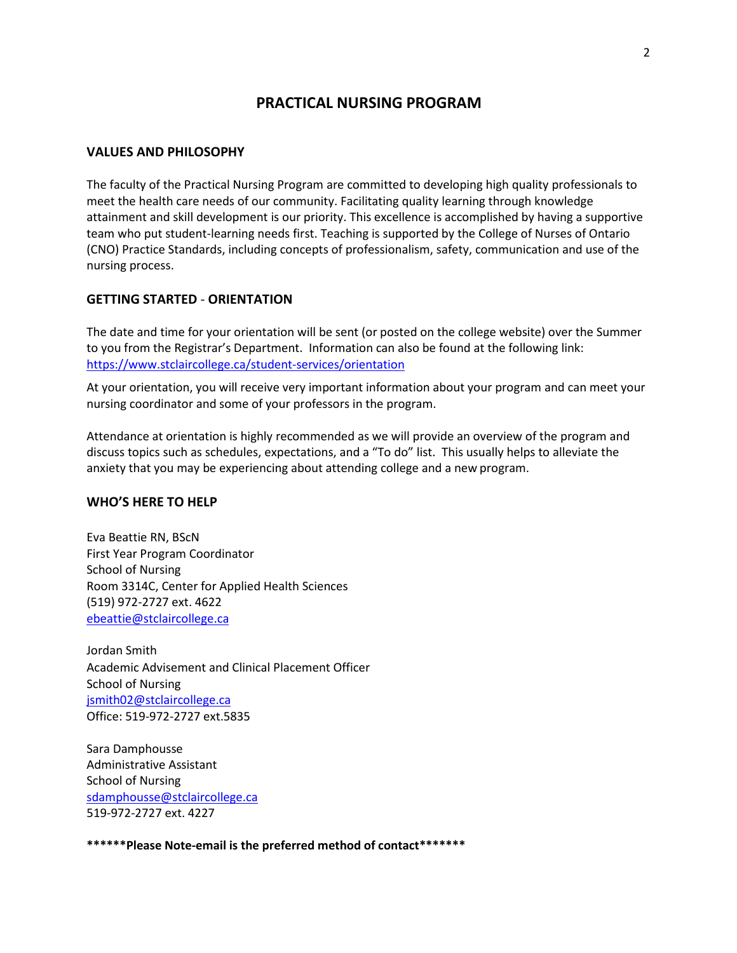# **PRACTICAL NURSING PROGRAM**

#### **VALUES AND PHILOSOPHY**

The faculty of the Practical Nursing Program are committed to developing high quality professionals to meet the health care needs of our community. Facilitating quality learning through knowledge attainment and skill development is our priority. This excellence is accomplished by having a supportive team who put student-learning needs first. Teaching is supported by the College of Nurses of Ontario (CNO) Practice Standards, including concepts of professionalism, safety, communication and use of the nursing process.

### **GETTING STARTED** - **ORIENTATION**

The date and time for your orientation will be sent (or posted on the college website) over the Summer to you from the Registrar's Department. Information can also be found at the following link: <https://www.stclaircollege.ca/student-services/orientation>

At your orientation, you will receive very important information about your program and can meet your nursing coordinator and some of your professors in the program.

Attendance at orientation is highly recommended as we will provide an overview of the program and discuss topics such as schedules, expectations, and a "To do" list. This usually helps to alleviate the anxiety that you may be experiencing about attending college and a new program.

### **WHO'S HERE TO HELP**

Eva Beattie RN, BScN First Year Program Coordinator School of Nursing Room 3314C, Center for Applied Health Sciences (519) 972-2727 ext. 4622 [ebeattie@stclaircollege.ca](mailto:ebeattie@stclaircollege.ca)

Jordan Smith Academic Advisement and Clinical Placement Officer School of Nursing [jsmith02@stclaircollege.ca](mailto:jsmith02@stclaircollege.ca) Office: 519-972-2727 ext.5835

Sara Damphousse Administrative Assistant School of Nursing [sdamphousse@stclaircollege.ca](mailto:sdamphousse@stclaircollege.ca) 519-972-2727 ext. 4227

**\*\*\*\*\*\*Please Note-email is the preferred method of contact\*\*\*\*\*\*\***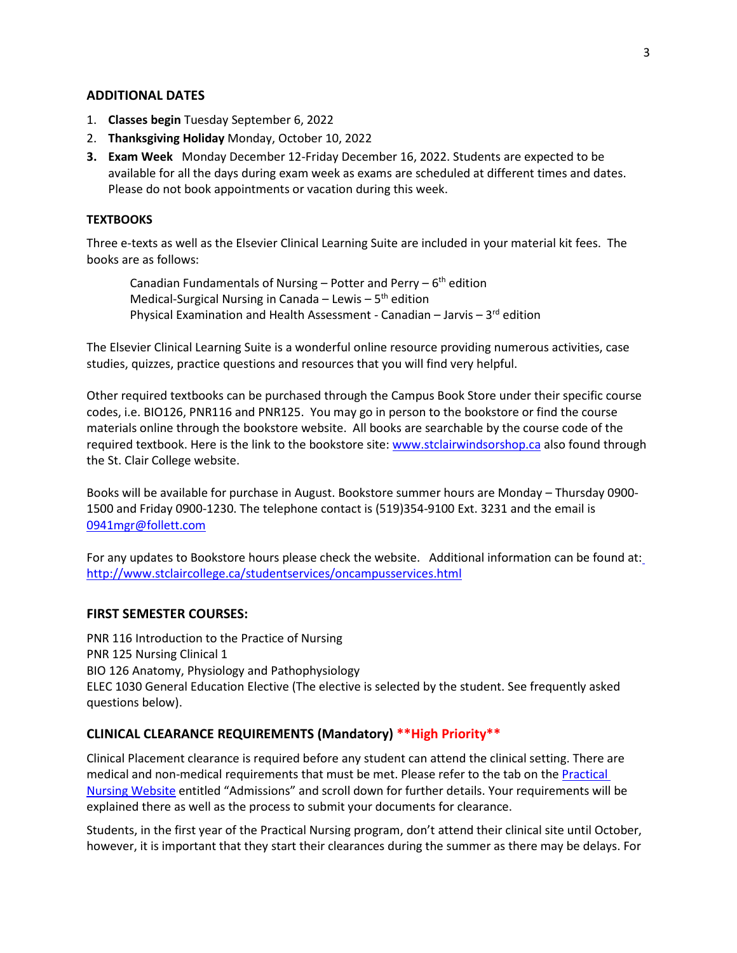### **ADDITIONAL DATES**

- 1. **Classes begin** Tuesday September 6, 2022
- 2. **Thanksgiving Holiday** Monday, October 10, 2022
- **3. Exam Week** Monday December 12-Friday December 16, 2022. Students are expected to be available for all the days during exam week as exams are scheduled at different times and dates. Please do not book appointments or vacation during this week.

#### **TEXTBOOKS**

Three e-texts as well as the Elsevier Clinical Learning Suite are included in your material kit fees. The books are as follows:

Canadian Fundamentals of Nursing – Potter and Perry –  $6<sup>th</sup>$  edition Medical-Surgical Nursing in Canada – Lewis –  $5<sup>th</sup>$  edition Physical Examination and Health Assessment - Canadian – Jarvis –  $3<sup>rd</sup>$  edition

The Elsevier Clinical Learning Suite is a wonderful online resource providing numerous activities, case studies, quizzes, practice questions and resources that you will find very helpful.

Other required textbooks can be purchased through the Campus Book Store under their specific course codes, i.e. BIO126, PNR116 and PNR125. You may go in person to the bookstore or find the course materials online through the bookstore website. All books are searchable by the course code of the required textbook. Here is the link to the bookstore site: [www.stclairwindsorshop.ca](http://www.stclairwindsorshop.ca/) also found through the St. Clair College website.

Books will be available for purchase in August. Bookstore summer hours are Monday – Thursday 0900- 1500 and Friday 0900-1230. The telephone contact is (519)354-9100 Ext. 3231 and the email is [0941mgr@follett.com](mailto:0941mgr@follett.com) 

For any updates to Bookstore hours please check the website. Additional information can be found at: <http://www.stclaircollege.ca/studentservices/oncampusservices.html>

#### **FIRST SEMESTER COURSES:**

PNR 116 Introduction to the Practice of Nursing PNR 125 Nursing Clinical 1 BIO 126 Anatomy, Physiology and Pathophysiology ELEC 1030 General Education Elective (The elective is selected by the student. See frequently asked questions below).

### **CLINICAL CLEARANCE REQUIREMENTS (Mandatory) \*\*High Priority\*\***

Clinical Placement clearance is required before any student can attend the clinical setting. There are medical and non-medical requirements that must be met. Please refer to the tab on the [Practical](https://www.stclaircollege.ca/programs/practical-nursing) Nursing Website entitled "Admissions" and scroll down for further details. Your requirements will be explained there as well as the process to submit your documents for clearance.

Students, in the first year of the Practical Nursing program, don't attend their clinical site until October, however, it is important that they start their clearances during the summer as there may be delays. For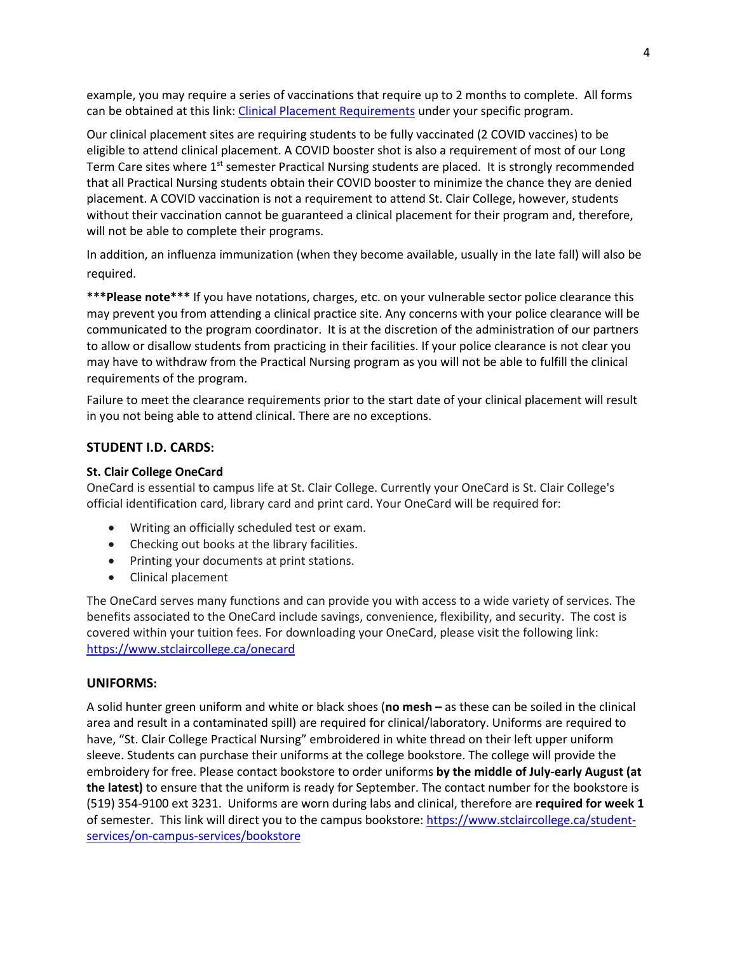example, you may require a series of vaccinations that require up to 2 months to complete. All forms can be obtained at this link: [Clinical Placement Requirements](https://www.stclaircollege.ca/programs/clinical-placement-requirements) under your specific program.

Our clinical placement sites are requiring students to be fully vaccinated (2 COVID vaccines) to be eligible to attend clinical placement. A COVID booster shot is also a requirement of most of our Long Term Care sites where  $1<sup>st</sup>$  semester Practical Nursing students are placed. It is strongly recommended that all Practical Nursing students obtain their COVID booster to minimize the chance they are denied placement. A COVID vaccination is not a requirement to attend St. Clair College, however, students without their vaccination cannot be guaranteed a clinical placement for their program and, therefore, will not be able to complete their programs.

In addition, an influenza immunization (when they become available, usually in the late fall) will also be required.

**\*\*\*Please note\*\*\*** If you have notations, charges, etc. on your vulnerable sector police clearance this may prevent you from attending a clinical practice site. Any concerns with your police clearance will be communicated to the program coordinator. It is at the discretion of the administration of our partners to allow or disallow students from practicing in their facilities. If your police clearance is not clear you may have to withdraw from the Practical Nursing program as you will not be able to fulfill the clinical requirements of the program.

Failure to meet the clearance requirements prior to the start date of your clinical placement will result in you not being able to attend clinical. There are no exceptions.

### **STUDENT I.D. CARDS:**

#### **St. Clair College OneCard**

OneCard is essential to campus life at St. Clair College. Currently your OneCard is St. Clair College's official identification card, library card and print card. Your OneCard will be required for:

- Writing an officially scheduled test or exam.
- Checking out books at the library facilities.
- Printing your documents at print stations.
- Clinical placement

The OneCard serves many functions and can provide you with access to a wide variety of services. The benefits associated to the OneCard include savings, convenience, flexibility, and security. The cost is covered within your tuition fees. For downloading your OneCard, please visit the following link: <https://www.stclaircollege.ca/onecard>

#### **UNIFORMS:**

A solid hunter green uniform and white or black shoes (**no mesh –** as these can be soiled in the clinical area and result in a contaminated spill) are required for clinical/laboratory. Uniforms are required to have, "St. Clair College Practical Nursing" embroidered in white thread on their left upper uniform sleeve. Students can purchase their uniforms at the college bookstore. The college will provide the embroidery for free. Please contact bookstore to order uniforms **by the middle of July-early August (at the latest)** to ensure that the uniform is ready for September. The contact number for the bookstore is (519) 354-9100 ext 3231. Uniforms are worn during labs and clinical, therefore are **required for week 1**  of semester. This link will direct you to the campus bookstore: [https://www.stclaircollege.ca/student](https://www.stclaircollege.ca/student-services/on-campus-services/bookstore)[services/on-campus-services/bookstore](https://www.stclaircollege.ca/student-services/on-campus-services/bookstore)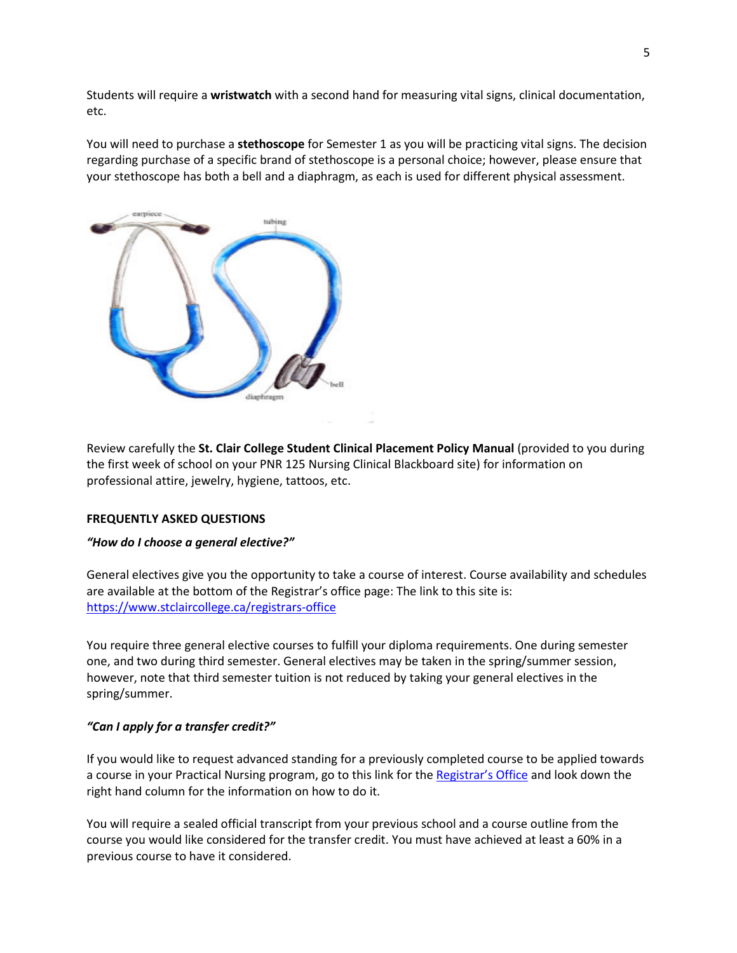Students will require a **wristwatch** with a second hand for measuring vital signs, clinical documentation, etc.

You will need to purchase a **stethoscope** for Semester 1 as you will be practicing vital signs. The decision regarding purchase of a specific brand of stethoscope is a personal choice; however, please ensure that your stethoscope has both a bell and a diaphragm, as each is used for different physical assessment.



Review carefully the **St. Clair College Student Clinical Placement Policy Manual** (provided to you during the first week of school on your PNR 125 Nursing Clinical Blackboard site) for information on professional attire, jewelry, hygiene, tattoos, etc.

#### **FREQUENTLY ASKED QUESTIONS**

#### *"How do I choose a general elective?"*

General electives give you the opportunity to take a course of interest. Course availability and schedules are available at the bottom of the Registrar's office page: The link to this site is: <https://www.stclaircollege.ca/registrars-office>

You require three general elective courses to fulfill your diploma requirements. One during semester one, and two during third semester. General electives may be taken in the spring/summer session, however, note that third semester tuition is not reduced by taking your general electives in the spring/summer.

### *"Can I apply for a transfer credit?"*

If you would like to request advanced standing for a previously completed course to be applied towards a course in your Practical Nursing program, go to this link for th[e Registrar's Office](https://www.stclaircollege.ca/registrars-office) and look down the right hand column for the information on how to do it.

You will require a sealed official transcript from your previous school and a course outline from the course you would like considered for the transfer credit. You must have achieved at least a 60% in a previous course to have it considered.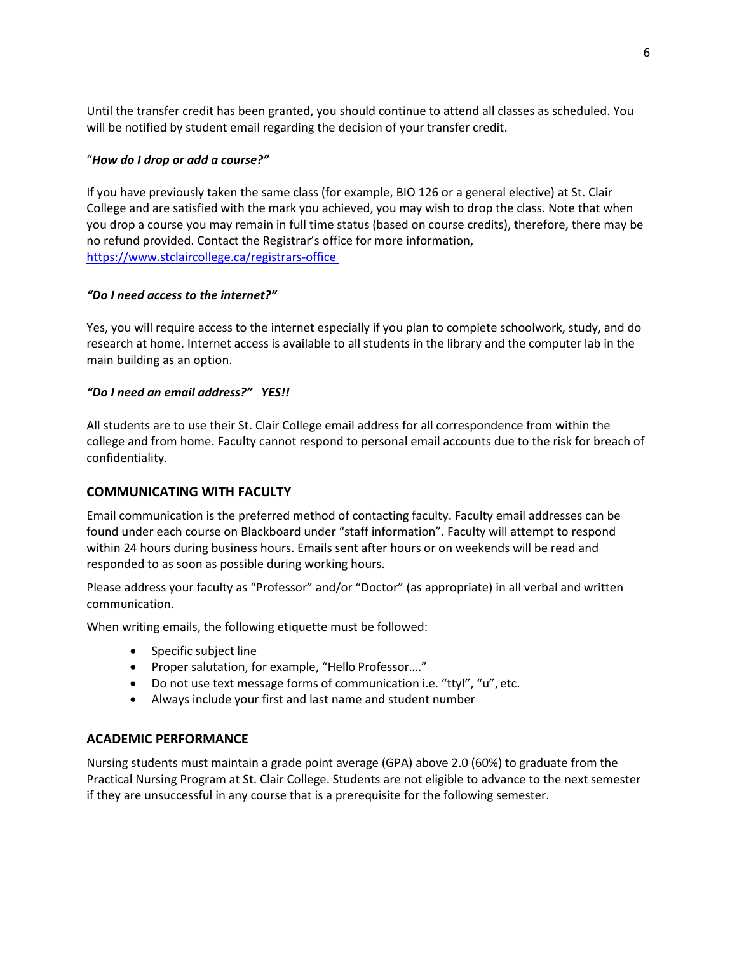Until the transfer credit has been granted, you should continue to attend all classes as scheduled. You will be notified by student email regarding the decision of your transfer credit.

### "*How do I drop or add a course?"*

If you have previously taken the same class (for example, BIO 126 or a general elective) at St. Clair College and are satisfied with the mark you achieved, you may wish to drop the class. Note that when you drop a course you may remain in full time status (based on course credits), therefore, there may be no refund provided. Contact the Registrar's office for more information, <https://www.stclaircollege.ca/registrars-office>

### *"Do I need access to the internet?"*

Yes, you will require access to the internet especially if you plan to complete schoolwork, study, and do research at home. Internet access is available to all students in the library and the computer lab in the main building as an option.

# *"Do I need an email address?" YES!!*

All students are to use their St. Clair College email address for all correspondence from within the college and from home. Faculty cannot respond to personal email accounts due to the risk for breach of confidentiality.

### **COMMUNICATING WITH FACULTY**

Email communication is the preferred method of contacting faculty. Faculty email addresses can be found under each course on Blackboard under "staff information". Faculty will attempt to respond within 24 hours during business hours. Emails sent after hours or on weekends will be read and responded to as soon as possible during working hours.

Please address your faculty as "Professor" and/or "Doctor" (as appropriate) in all verbal and written communication.

When writing emails, the following etiquette must be followed:

- Specific subject line
- Proper salutation, for example, "Hello Professor…."
- Do not use text message forms of communication i.e. "ttyl", "u", etc.
- Always include your first and last name and student number

### **ACADEMIC PERFORMANCE**

Nursing students must maintain a grade point average (GPA) above 2.0 (60%) to graduate from the Practical Nursing Program at St. Clair College. Students are not eligible to advance to the next semester if they are unsuccessful in any course that is a prerequisite for the following semester.